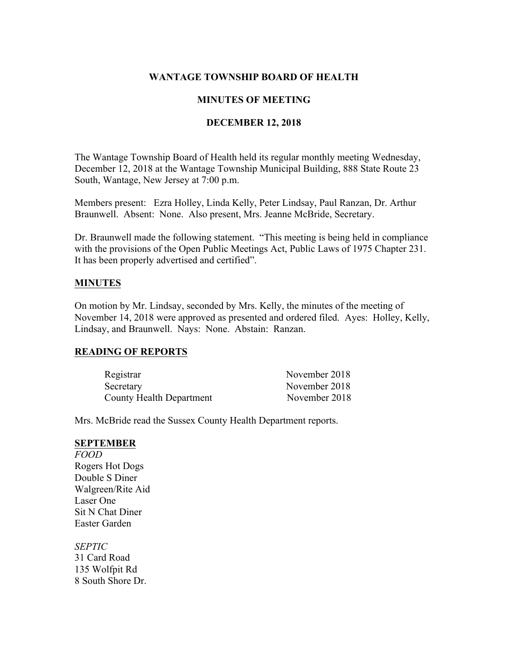#### **WANTAGE TOWNSHIP BOARD OF HEALTH**

### **MINUTES OF MEETING**

## **DECEMBER 12, 2018**

The Wantage Township Board of Health held its regular monthly meeting Wednesday, December 12, 2018 at the Wantage Township Municipal Building, 888 State Route 23 South, Wantage, New Jersey at 7:00 p.m.

Members present: Ezra Holley, Linda Kelly, Peter Lindsay, Paul Ranzan, Dr. Arthur Braunwell. Absent: None. Also present, Mrs. Jeanne McBride, Secretary.

Dr. Braunwell made the following statement. "This meeting is being held in compliance with the provisions of the Open Public Meetings Act, Public Laws of 1975 Chapter 231. It has been properly advertised and certified".

#### **MINUTES**

On motion by Mr. Lindsay, seconded by Mrs. Kelly, the minutes of the meeting of November 14, 2018 were approved as presented and ordered filed. Ayes: Holley, Kelly, Lindsay, and Braunwell. Nays: None. Abstain: Ranzan.

# **READING OF REPORTS**

| Registrar                | November 2018 |
|--------------------------|---------------|
| Secretary                | November 2018 |
| County Health Department | November 2018 |

Mrs. McBride read the Sussex County Health Department reports.

## **SEPTEMBER**

*FOOD* Rogers Hot Dogs Double S Diner Walgreen/Rite Aid Laser One Sit N Chat Diner Easter Garden

*SEPTIC* 31 Card Road 135 Wolfpit Rd 8 South Shore Dr.